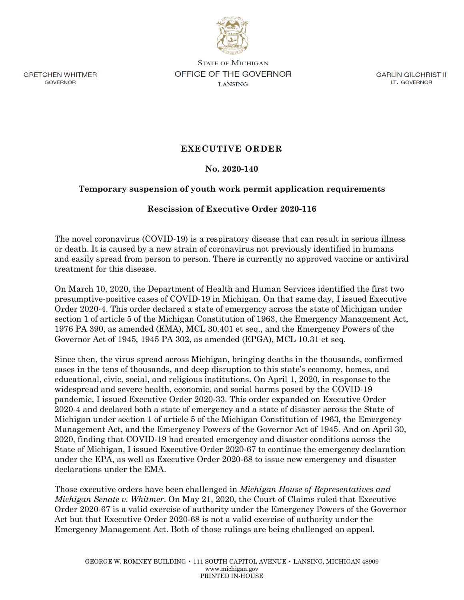

**GRETCHEN WHITMER** GOVERNOR

**STATE OF MICHIGAN OFFICE OF THE GOVERNOR LANSING** 

GARLIN GILCHRIST II LT. GOVERNOR

## **EXECUTIVE ORDER**

## **No. 2020-140**

## **Temporary suspension of youth work permit application requirements**

## **Rescission of Executive Order 2020-116**

The novel coronavirus (COVID-19) is a respiratory disease that can result in serious illness or death. It is caused by a new strain of coronavirus not previously identified in humans and easily spread from person to person. There is currently no approved vaccine or antiviral treatment for this disease.

On March 10, 2020, the Department of Health and Human Services identified the first two presumptive-positive cases of COVID-19 in Michigan. On that same day, I issued Executive Order 2020-4. This order declared a state of emergency across the state of Michigan under section 1 of article 5 of the Michigan Constitution of 1963, the Emergency Management Act, 1976 PA 390, as amended (EMA), MCL 30.401 et seq., and the Emergency Powers of the Governor Act of 1945, 1945 PA 302, as amended (EPGA), MCL 10.31 et seq.

Since then, the virus spread across Michigan, bringing deaths in the thousands, confirmed cases in the tens of thousands, and deep disruption to this state's economy, homes, and educational, civic, social, and religious institutions. On April 1, 2020, in response to the widespread and severe health, economic, and social harms posed by the COVID-19 pandemic, I issued Executive Order 2020-33. This order expanded on Executive Order 2020-4 and declared both a state of emergency and a state of disaster across the State of Michigan under section 1 of article 5 of the Michigan Constitution of 1963, the Emergency Management Act, and the Emergency Powers of the Governor Act of 1945. And on April 30, 2020, finding that COVID-19 had created emergency and disaster conditions across the State of Michigan, I issued Executive Order 2020-67 to continue the emergency declaration under the EPA, as well as Executive Order 2020-68 to issue new emergency and disaster declarations under the EMA.

Those executive orders have been challenged in *Michigan House of Representatives and Michigan Senate v. Whitmer*. On May 21, 2020, the Court of Claims ruled that Executive Order 2020-67 is a valid exercise of authority under the Emergency Powers of the Governor Act but that Executive Order 2020-68 is not a valid exercise of authority under the Emergency Management Act. Both of those rulings are being challenged on appeal.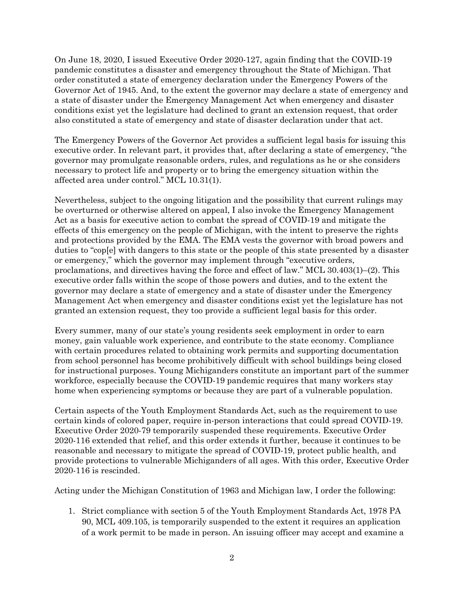On June 18, 2020, I issued Executive Order 2020-127, again finding that the COVID-19 pandemic constitutes a disaster and emergency throughout the State of Michigan. That order constituted a state of emergency declaration under the Emergency Powers of the Governor Act of 1945. And, to the extent the governor may declare a state of emergency and a state of disaster under the Emergency Management Act when emergency and disaster conditions exist yet the legislature had declined to grant an extension request, that order also constituted a state of emergency and state of disaster declaration under that act.

The Emergency Powers of the Governor Act provides a sufficient legal basis for issuing this executive order. In relevant part, it provides that, after declaring a state of emergency, "the governor may promulgate reasonable orders, rules, and regulations as he or she considers necessary to protect life and property or to bring the emergency situation within the affected area under control." MCL 10.31(1).

Nevertheless, subject to the ongoing litigation and the possibility that current rulings may be overturned or otherwise altered on appeal, I also invoke the Emergency Management Act as a basis for executive action to combat the spread of COVID-19 and mitigate the effects of this emergency on the people of Michigan, with the intent to preserve the rights and protections provided by the EMA. The EMA vests the governor with broad powers and duties to "cop[e] with dangers to this state or the people of this state presented by a disaster or emergency," which the governor may implement through "executive orders, proclamations, and directives having the force and effect of law." MCL 30.403(1)–(2). This executive order falls within the scope of those powers and duties, and to the extent the governor may declare a state of emergency and a state of disaster under the Emergency Management Act when emergency and disaster conditions exist yet the legislature has not granted an extension request, they too provide a sufficient legal basis for this order.

Every summer, many of our state's young residents seek employment in order to earn money, gain valuable work experience, and contribute to the state economy. Compliance with certain procedures related to obtaining work permits and supporting documentation from school personnel has become prohibitively difficult with school buildings being closed for instructional purposes. Young Michiganders constitute an important part of the summer workforce, especially because the COVID-19 pandemic requires that many workers stay home when experiencing symptoms or because they are part of a vulnerable population.

Certain aspects of the Youth Employment Standards Act, such as the requirement to use certain kinds of colored paper, require in-person interactions that could spread COVID-19. Executive Order 2020-79 temporarily suspended these requirements. Executive Order 2020-116 extended that relief, and this order extends it further, because it continues to be reasonable and necessary to mitigate the spread of COVID-19, protect public health, and provide protections to vulnerable Michiganders of all ages. With this order, Executive Order 2020-116 is rescinded.

Acting under the Michigan Constitution of 1963 and Michigan law, I order the following:

1. Strict compliance with section 5 of the Youth Employment Standards Act, 1978 PA 90, MCL 409.105, is temporarily suspended to the extent it requires an application of a work permit to be made in person. An issuing officer may accept and examine a